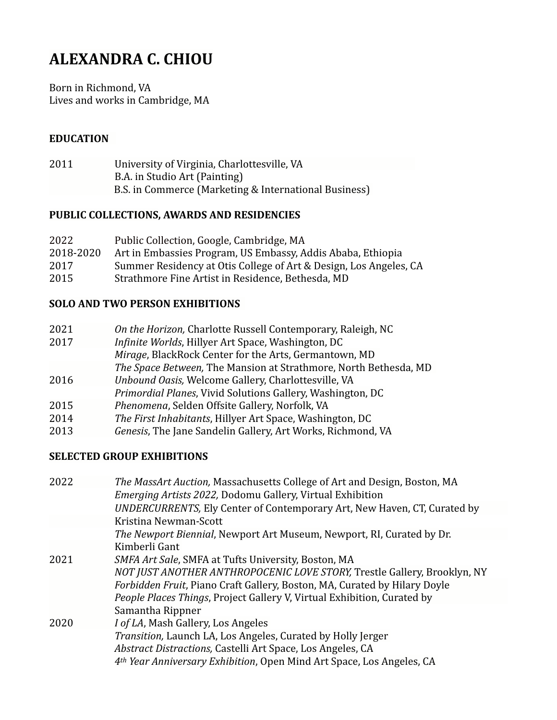# **ALEXANDRA C. CHIOU**

Born in Richmond, VA Lives and works in Cambridge, MA

### **EDUCATION**

2011 University of Virginia, Charlottesville, VA **B.A.** in Studio Art (Painting) B.S. in Commerce (Marketing & International Business)

#### **PUBLIC COLLECTIONS, AWARDS AND RESIDENCIES**

| 2022      | Public Collection, Google, Cambridge, MA                          |
|-----------|-------------------------------------------------------------------|
| 2018-2020 | Art in Embassies Program, US Embassy, Addis Ababa, Ethiopia       |
| 2017      | Summer Residency at Otis College of Art & Design, Los Angeles, CA |
| 2015      | Strathmore Fine Artist in Residence, Bethesda, MD                 |

#### **SOLO AND TWO PERSON EXHIBITIONS**

| 2021 |                                                             |  |
|------|-------------------------------------------------------------|--|
|      |                                                             |  |
|      | On the Horizon, Charlotte Russell Contemporary, Raleigh, NC |  |

- 2017 *Infinite Worlds*, Hillyer Art Space, Washington, DC
	- *Mirage*, BlackRock Center for the Arts, Germantown, MD
		- The Space Between, The Mansion at Strathmore, North Bethesda, MD
- 2016 *Unbound Oasis,* Welcome Gallery, Charlottesville, VA
- *Primordial Planes*, Vivid Solutions Gallery, Washington, DC
- 2015 Phenomena, Selden Offsite Gallery, Norfolk, VA
- 2014 *The First Inhabitants*, Hillyer Art Space, Washington, DC
- 2013 *Genesis*, The Jane Sandelin Gallery, Art Works, Richmond, VA

## **SELECTED GROUP EXHIBITIONS**

| 2022 | The MassArt Auction, Massachusetts College of Art and Design, Boston, MA<br><i>Emerging Artists 2022, Dodomu Gallery, Virtual Exhibition</i> |
|------|----------------------------------------------------------------------------------------------------------------------------------------------|
|      | UNDERCURRENTS, Ely Center of Contemporary Art, New Haven, CT, Curated by                                                                     |
|      | Kristina Newman-Scott                                                                                                                        |
|      | The Newport Biennial, Newport Art Museum, Newport, RI, Curated by Dr.                                                                        |
|      | Kimberli Gant                                                                                                                                |
| 2021 | SMFA Art Sale, SMFA at Tufts University, Boston, MA                                                                                          |
|      | NOT JUST ANOTHER ANTHROPOCENIC LOVE STORY, Trestle Gallery, Brooklyn, NY                                                                     |
|      | Forbidden Fruit, Piano Craft Gallery, Boston, MA, Curated by Hilary Doyle                                                                    |
|      | <i>People Places Things, Project Gallery V, Virtual Exhibition, Curated by</i>                                                               |
|      | Samantha Rippner                                                                                                                             |
| 2020 | <i>I of LA</i> , Mash Gallery, Los Angeles                                                                                                   |
|      | <i>Transition</i> , Launch LA, Los Angeles, Curated by Holly Jerger                                                                          |
|      | Abstract Distractions, Castelli Art Space, Los Angeles, CA                                                                                   |
|      | 4th Year Anniversary Exhibition, Open Mind Art Space, Los Angeles, CA                                                                        |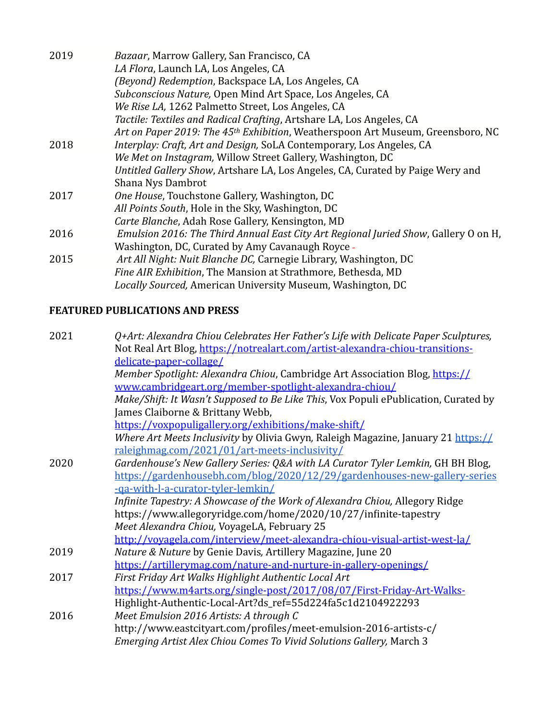| 2019 | Bazaar, Marrow Gallery, San Francisco, CA                                           |
|------|-------------------------------------------------------------------------------------|
|      | LA Flora, Launch LA, Los Angeles, CA                                                |
|      | (Beyond) Redemption, Backspace LA, Los Angeles, CA                                  |
|      | Subconscious Nature, Open Mind Art Space, Los Angeles, CA                           |
|      | We Rise LA, 1262 Palmetto Street, Los Angeles, CA                                   |
|      | Tactile: Textiles and Radical Crafting, Artshare LA, Los Angeles, CA                |
|      | Art on Paper 2019: The 45th Exhibition, Weatherspoon Art Museum, Greensboro, NC     |
| 2018 | Interplay: Craft, Art and Design, SoLA Contemporary, Los Angeles, CA                |
|      | We Met on Instagram, Willow Street Gallery, Washington, DC                          |
|      | Untitled Gallery Show, Artshare LA, Los Angeles, CA, Curated by Paige Wery and      |
|      | Shana Nys Dambrot                                                                   |
| 2017 | One House, Touchstone Gallery, Washington, DC                                       |
|      | All Points South, Hole in the Sky, Washington, DC                                   |
|      | Carte Blanche, Adah Rose Gallery, Kensington, MD                                    |
| 2016 | Emulsion 2016: The Third Annual East City Art Regional Juried Show, Gallery O on H, |
|      | Washington, DC, Curated by Amy Cavanaugh Royce -                                    |
| 2015 | Art All Night: Nuit Blanche DC, Carnegie Library, Washington, DC                    |
|      | Fine AIR Exhibition, The Mansion at Strathmore, Bethesda, MD                        |
|      | Locally Sourced, American University Museum, Washington, DC                         |
|      |                                                                                     |

# **FEATURED PUBLICATIONS AND PRESS**

| 2021 | Q+Art: Alexandra Chiou Celebrates Her Father's Life with Delicate Paper Sculptures, |
|------|-------------------------------------------------------------------------------------|
|      | Not Real Art Blog, https://notrealart.com/artist-alexandra-chiou-transitions-       |
|      | delicate-paper-collage/                                                             |
|      | Member Spotlight: Alexandra Chiou, Cambridge Art Association Blog, https://         |
|      | www.cambridgeart.org/member-spotlight-alexandra-chiou/                              |
|      | Make/Shift: It Wasn't Supposed to Be Like This, Vox Populi ePublication, Curated by |
|      | James Claiborne & Brittany Webb,                                                    |
|      | https://voxpopuligallery.org/exhibitions/make-shift/                                |
|      | Where Art Meets Inclusivity by Olivia Gwyn, Raleigh Magazine, January 21 https://   |
|      | raleighmag.com/2021/01/art-meets-inclusivity/                                       |
| 2020 | Gardenhouse's New Gallery Series: Q&A with LA Curator Tyler Lemkin, GH BH Blog,     |
|      | https://gardenhousebh.com/blog/2020/12/29/gardenhouses-new-gallery-series           |
|      | -ga-with-l-a-curator-tyler-lemkin/                                                  |
|      | Infinite Tapestry: A Showcase of the Work of Alexandra Chiou, Allegory Ridge        |
|      | https://www.allegoryridge.com/home/2020/10/27/infinite-tapestry                     |
|      | Meet Alexandra Chiou, VoyageLA, February 25                                         |
|      | http://voyagela.com/interview/meet-alexandra-chiou-visual-artist-west-la/           |
| 2019 | Nature & Nuture by Genie Davis, Artillery Magazine, June 20                         |
|      | https://artillerymag.com/nature-and-nurture-in-gallery-openings/                    |
| 2017 | First Friday Art Walks Highlight Authentic Local Art                                |
|      | https://www.m4arts.org/single-post/2017/08/07/First-Friday-Art-Walks-               |
|      | Highlight-Authentic-Local-Art?ds_ref=55d224fa5c1d2104922293                         |
| 2016 | Meet Emulsion 2016 Artists: A through C                                             |
|      | http://www.eastcityart.com/profiles/meet-emulsion-2016-artists-c/                   |
|      | Emerging Artist Alex Chiou Comes To Vivid Solutions Gallery, March 3                |